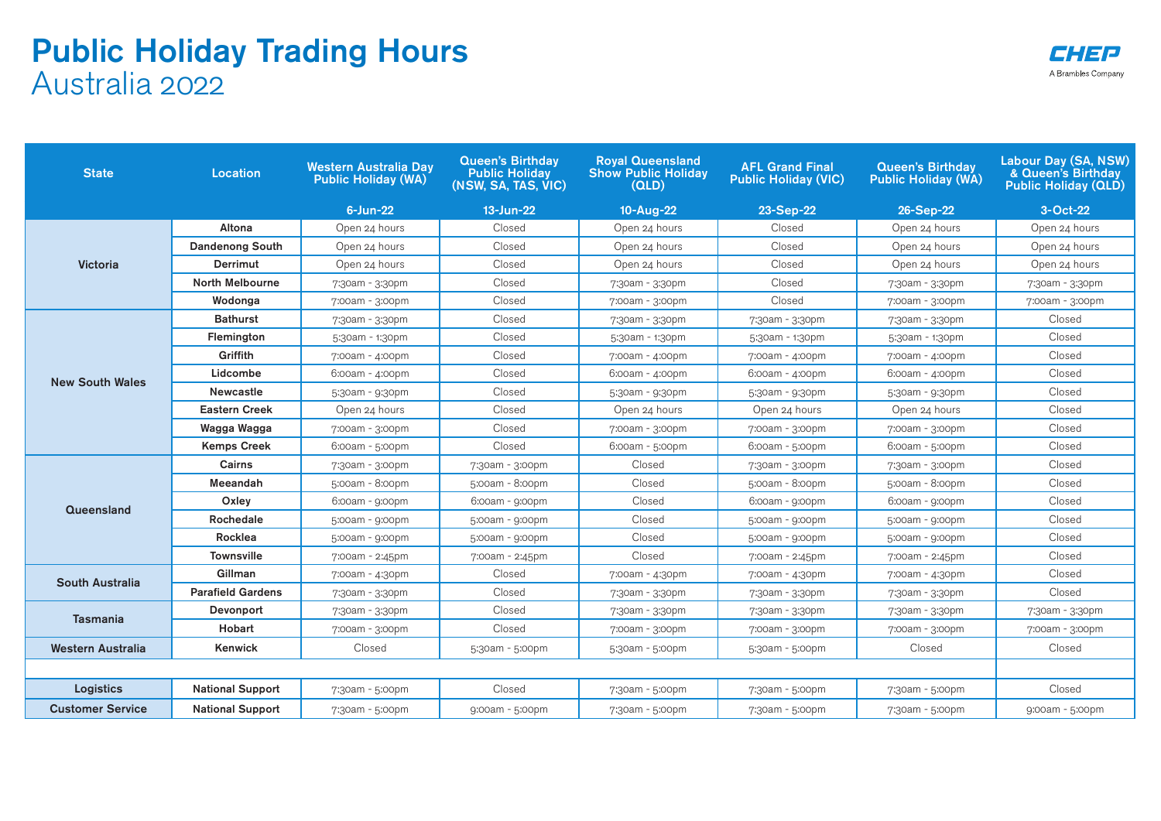## Public Holiday Trading Hours Australia 2022

| A Brambles Company |
|--------------------|

| <b>State</b><br><b>Location</b> |                          | <b>Western Australia Day</b><br><b>Public Holiday (WA)</b> | <b>Queen's Birthday</b><br><b>Public Holiday</b><br>(NSW, SA, TAS, VIC) | <b>Royal Queensland</b><br><b>Show Public Holiday</b><br>(OLD) | <b>AFL Grand Final</b><br><b>Public Holiday (VIC)</b> | <b>Queen's Birthday</b><br><b>Public Holiday (WA)</b> | Labour Day (SA, NSW)<br>& Queen's Birthdav<br><b>Public Holiday (QLD)</b> |
|---------------------------------|--------------------------|------------------------------------------------------------|-------------------------------------------------------------------------|----------------------------------------------------------------|-------------------------------------------------------|-------------------------------------------------------|---------------------------------------------------------------------------|
|                                 |                          | $6$ -Jun-22                                                | 13-Jun-22                                                               | 10-Aug-22                                                      | 23-Sep-22                                             | 26-Sep-22                                             | 3-Oct-22                                                                  |
| <b>Victoria</b>                 | Altona                   | Open 24 hours                                              | Closed                                                                  | Open 24 hours                                                  | Closed                                                | Open 24 hours                                         | Open 24 hours                                                             |
|                                 | <b>Dandenong South</b>   | Open 24 hours                                              | Closed                                                                  | Open 24 hours                                                  | Closed                                                | Open 24 hours                                         | Open 24 hours                                                             |
|                                 | Derrimut                 | Open 24 hours                                              | Closed                                                                  | Open 24 hours                                                  | Closed                                                | Open 24 hours                                         | Open 24 hours                                                             |
|                                 | North Melbourne          | 7:30am - 3:30pm                                            | Closed                                                                  | 7:30am - 3:30pm                                                | Closed                                                | 7:30am - 3:30pm                                       | 7:30am - 3:30pm                                                           |
|                                 | Wodonga                  | 7:00am - 3:00pm                                            | Closed                                                                  | 7:00am - 3:00pm                                                | Closed                                                | 7:00am - 3:00pm                                       | 7:00am - 3:00pm                                                           |
| <b>New South Wales</b>          | <b>Bathurst</b>          | 7:30am - 3:30pm                                            | Closed                                                                  | 7:30am - 3:30pm                                                | 7:30am - 3:30pm                                       | 7:30am - 3:30pm                                       | Closed                                                                    |
|                                 | Flemington               | 5:30am - 1:30pm                                            | Closed                                                                  | 5:30am - 1:30pm                                                | 5:30am - 1:30pm                                       | 5:30am - 1:30pm                                       | Closed                                                                    |
|                                 | Griffith                 | 7:00am - 4:00pm                                            | Closed                                                                  | 7:00am - 4:00pm                                                | 7:00am - 4:00pm                                       | 7:00am - 4:00pm                                       | Closed                                                                    |
|                                 | Lidcombe                 | 6:00am - 4:00pm                                            | Closed                                                                  | 6:00am - 4:00pm                                                | $6:00am - 4:00pm$                                     | $6:00am - 4:00pm$                                     | Closed                                                                    |
|                                 | <b>Newcastle</b>         | 5:30am - 9:30pm                                            | Closed                                                                  | 5:30am - 9:30pm                                                | 5:30am - 9:30pm                                       | 5:30am - 9:30pm                                       | Closed                                                                    |
|                                 | Eastern Creek            | Open 24 hours                                              | Closed                                                                  | Open 24 hours                                                  | Open 24 hours                                         | Open 24 hours                                         | Closed                                                                    |
|                                 | Wagga Wagga              | 7:00am - 3:00pm                                            | Closed                                                                  | 7:00am - 3:00pm                                                | 7:00am - 3:00pm                                       | 7:00am - 3:00pm                                       | Closed                                                                    |
|                                 | <b>Kemps Creek</b>       | 6:00am - 5:00pm                                            | Closed                                                                  | $6:00am - 5:00pm$                                              | 6:00am - 5:00pm                                       | 6:00am - 5:00pm                                       | Closed                                                                    |
| Queensland                      | Cairns                   | 7:30am - 3:00pm                                            | 7:30am - 3:00pm                                                         | Closed                                                         | 7:30am - 3:00pm                                       | 7:30am - 3:00pm                                       | Closed                                                                    |
|                                 | Meeandah                 | 5:00am - 8:00pm                                            | 5:00am - 8:00pm                                                         | Closed                                                         | 5:00am - 8:00pm                                       | 5:00am - 8:00pm                                       | Closed                                                                    |
|                                 | Oxley                    | 6:00am - 9:00pm                                            | $6:00am - 9:00pm$                                                       | Closed                                                         | 6:00am - 9:00pm                                       | $6:00am - 9:00pm$                                     | Closed                                                                    |
|                                 | Rochedale                | 5:00am - 9:00pm                                            | 5:00am - 9:00pm                                                         | Closed                                                         | 5:00am - 9:00pm                                       | 5:00am - 9:00pm                                       | Closed                                                                    |
|                                 | Rocklea                  | 5:00am - 9:00pm                                            | 5:00am - 9:00pm                                                         | Closed                                                         | 5:00am - 9:00pm                                       | 5:00am - 9:00pm                                       | Closed                                                                    |
|                                 | <b>Townsville</b>        | 7:00am - 2:45pm                                            | 7:00am - 2:45pm                                                         | Closed                                                         | 7:00am - 2:45pm                                       | 7:00am - 2:45pm                                       | Closed                                                                    |
| South Australia                 | Gillman                  | 7:00am - 4:30pm                                            | Closed                                                                  | 7:00am - 4:30pm                                                | 7:00am - 4:30pm                                       | 7:00am - 4:30pm                                       | Closed                                                                    |
|                                 | <b>Parafield Gardens</b> | 7:30am - 3:30pm                                            | Closed                                                                  | 7:30am - 3:30pm                                                | 7:30am - 3:30pm                                       | 7:30am - 3:30pm                                       | Closed                                                                    |
| <b>Tasmania</b>                 | Devonport                | 7:30am - 3:30pm                                            | Closed                                                                  | 7:30am - 3:30pm                                                | 7:30am - 3:30pm                                       | 7:30am - 3:30pm                                       | 7:30am - 3:30pm                                                           |
|                                 | Hobart                   | 7:00am - 3:00pm                                            | Closed                                                                  | 7:00am - 3:00pm                                                | 7:00am - 3:00pm                                       | 7:00am - 3:00pm                                       | 7:00am - 3:00pm                                                           |
| Western Australia               | Kenwick                  | Closed                                                     | 5:30am - 5:00pm                                                         | 5:30am - 5:00pm                                                | 5:30am - 5:00pm                                       | Closed                                                | Closed                                                                    |
|                                 |                          |                                                            |                                                                         |                                                                |                                                       |                                                       |                                                                           |
| <b>Logistics</b>                | <b>National Support</b>  | 7:30am - 5:00pm                                            | Closed                                                                  | 7:30am - 5:00pm                                                | 7:30am - 5:00pm                                       | 7:30am - 5:00pm                                       | Closed                                                                    |
| <b>Customer Service</b>         | <b>National Support</b>  | 7:30am - 5:00pm                                            | 9:00am - 5:00pm                                                         | 7:30am - 5:00pm                                                | 7:30am - 5:00pm                                       | 7:30am - 5:00pm                                       | 9:00am - 5:00pm                                                           |